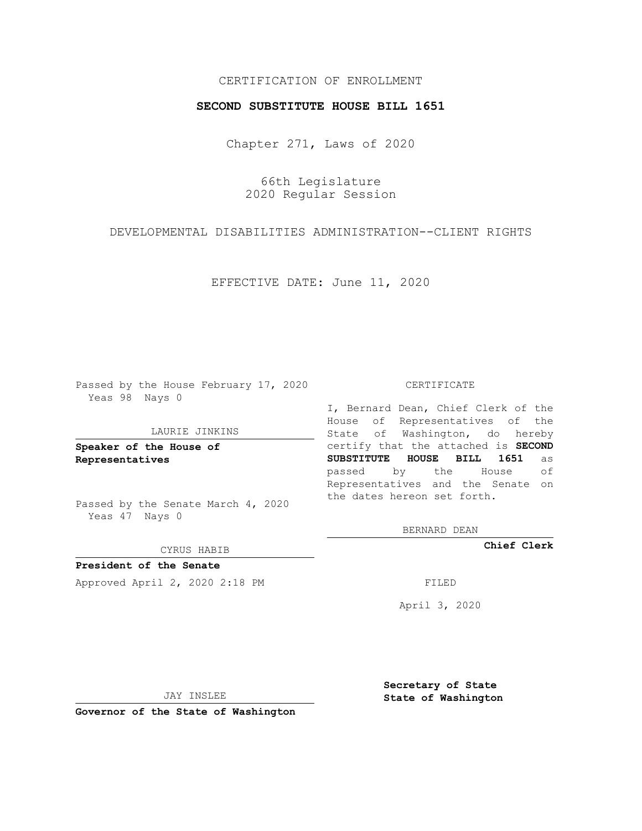# CERTIFICATION OF ENROLLMENT

## **SECOND SUBSTITUTE HOUSE BILL 1651**

Chapter 271, Laws of 2020

66th Legislature 2020 Regular Session

DEVELOPMENTAL DISABILITIES ADMINISTRATION--CLIENT RIGHTS

EFFECTIVE DATE: June 11, 2020

Passed by the House February 17, 2020 Yeas 98 Nays 0

#### LAURIE JINKINS

**Speaker of the House of Representatives**

Passed by the Senate March 4, 2020 Yeas 47 Nays 0

#### CYRUS HABIB

**President of the Senate** Approved April 2, 2020 2:18 PM

CERTIFICATE

I, Bernard Dean, Chief Clerk of the House of Representatives of the State of Washington, do hereby certify that the attached is **SECOND SUBSTITUTE HOUSE BILL 1651** as passed by the House of Representatives and the Senate on the dates hereon set forth.

BERNARD DEAN

**Chief Clerk**

April 3, 2020

JAY INSLEE

**Governor of the State of Washington**

**Secretary of State State of Washington**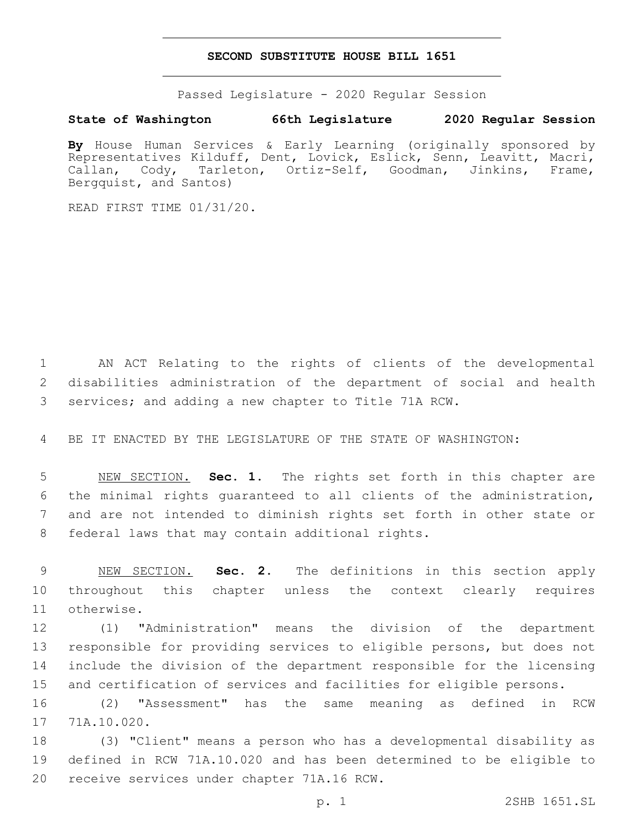## **SECOND SUBSTITUTE HOUSE BILL 1651**

Passed Legislature - 2020 Regular Session

## **State of Washington 66th Legislature 2020 Regular Session**

**By** House Human Services & Early Learning (originally sponsored by Representatives Kilduff, Dent, Lovick, Eslick, Senn, Leavitt, Macri, Callan, Cody, Tarleton, Ortiz-Self, Goodman, Jinkins, Frame, Bergquist, and Santos)

READ FIRST TIME 01/31/20.

 AN ACT Relating to the rights of clients of the developmental disabilities administration of the department of social and health services; and adding a new chapter to Title 71A RCW.

BE IT ENACTED BY THE LEGISLATURE OF THE STATE OF WASHINGTON:

 NEW SECTION. **Sec. 1.** The rights set forth in this chapter are the minimal rights guaranteed to all clients of the administration, and are not intended to diminish rights set forth in other state or federal laws that may contain additional rights.

 NEW SECTION. **Sec. 2.** The definitions in this section apply throughout this chapter unless the context clearly requires otherwise.

 (1) "Administration" means the division of the department responsible for providing services to eligible persons, but does not include the division of the department responsible for the licensing and certification of services and facilities for eligible persons.

 (2) "Assessment" has the same meaning as defined in RCW 17 71A.10.020.

 (3) "Client" means a person who has a developmental disability as defined in RCW 71A.10.020 and has been determined to be eligible to 20 receive services under chapter 71A.16 RCW.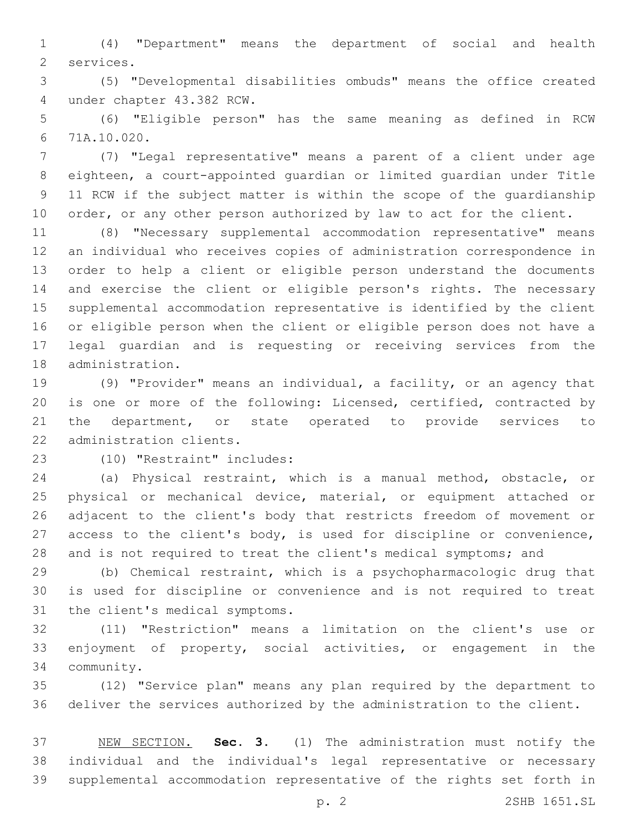(4) "Department" means the department of social and health 2 services.

 (5) "Developmental disabilities ombuds" means the office created under chapter 43.382 RCW.4

 (6) "Eligible person" has the same meaning as defined in RCW 71A.10.020.6

 (7) "Legal representative" means a parent of a client under age eighteen, a court-appointed guardian or limited guardian under Title 11 RCW if the subject matter is within the scope of the guardianship 10 order, or any other person authorized by law to act for the client.

 (8) "Necessary supplemental accommodation representative" means an individual who receives copies of administration correspondence in order to help a client or eligible person understand the documents and exercise the client or eligible person's rights. The necessary supplemental accommodation representative is identified by the client or eligible person when the client or eligible person does not have a legal guardian and is requesting or receiving services from the 18 administration.

 (9) "Provider" means an individual, a facility, or an agency that is one or more of the following: Licensed, certified, contracted by the department, or state operated to provide services to 22 administration clients.

(10) "Restraint" includes:23

 (a) Physical restraint, which is a manual method, obstacle, or physical or mechanical device, material, or equipment attached or adjacent to the client's body that restricts freedom of movement or access to the client's body, is used for discipline or convenience, 28 and is not required to treat the client's medical symptoms; and

 (b) Chemical restraint, which is a psychopharmacologic drug that is used for discipline or convenience and is not required to treat 31 the client's medical symptoms.

 (11) "Restriction" means a limitation on the client's use or enjoyment of property, social activities, or engagement in the community.34

 (12) "Service plan" means any plan required by the department to deliver the services authorized by the administration to the client.

 NEW SECTION. **Sec. 3.** (1) The administration must notify the individual and the individual's legal representative or necessary supplemental accommodation representative of the rights set forth in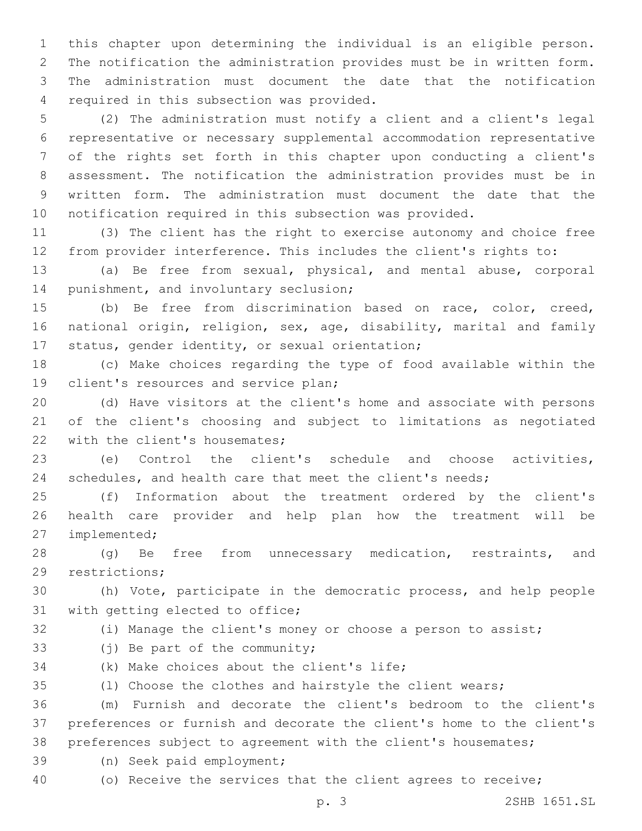this chapter upon determining the individual is an eligible person. The notification the administration provides must be in written form. The administration must document the date that the notification 4 required in this subsection was provided.

 (2) The administration must notify a client and a client's legal representative or necessary supplemental accommodation representative of the rights set forth in this chapter upon conducting a client's assessment. The notification the administration provides must be in written form. The administration must document the date that the notification required in this subsection was provided.

 (3) The client has the right to exercise autonomy and choice free from provider interference. This includes the client's rights to:

 (a) Be free from sexual, physical, and mental abuse, corporal 14 punishment, and involuntary seclusion;

 (b) Be free from discrimination based on race, color, creed, national origin, religion, sex, age, disability, marital and family 17 status, gender identity, or sexual orientation;

 (c) Make choices regarding the type of food available within the 19 client's resources and service plan;

 (d) Have visitors at the client's home and associate with persons of the client's choosing and subject to limitations as negotiated 22 with the client's housemates;

 (e) Control the client's schedule and choose activities, schedules, and health care that meet the client's needs;

 (f) Information about the treatment ordered by the client's health care provider and help plan how the treatment will be 27 implemented;

 (g) Be free from unnecessary medication, restraints, and 29 restrictions;

 (h) Vote, participate in the democratic process, and help people 31 with getting elected to office;

- 
- (i) Manage the client's money or choose a person to assist;
- 33 (i) Be part of the community;
- 34 (k) Make choices about the client's life;
- (l) Choose the clothes and hairstyle the client wears;

 (m) Furnish and decorate the client's bedroom to the client's preferences or furnish and decorate the client's home to the client's preferences subject to agreement with the client's housemates;

39 (n) Seek paid employment;

(o) Receive the services that the client agrees to receive;

p. 3 2SHB 1651.SL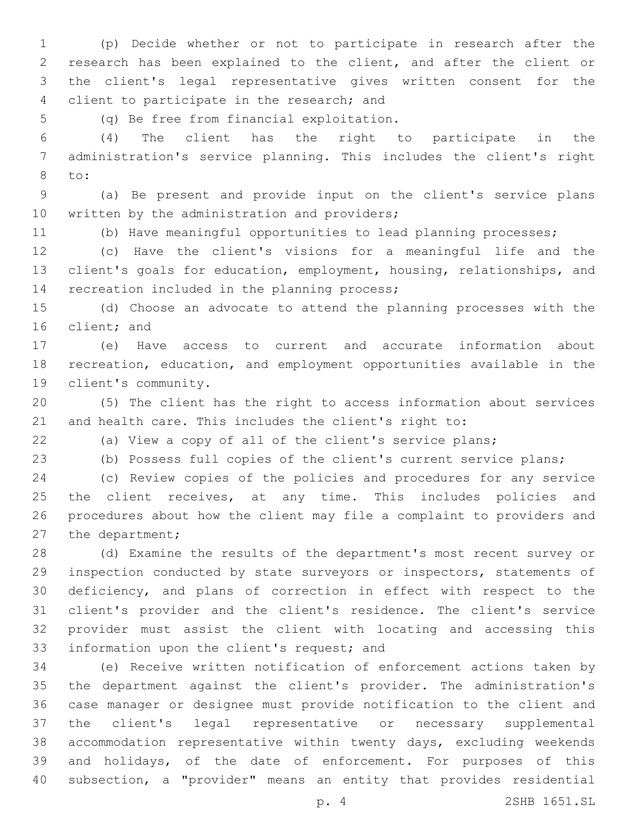(p) Decide whether or not to participate in research after the research has been explained to the client, and after the client or the client's legal representative gives written consent for the 4 client to participate in the research; and

(q) Be free from financial exploitation.5

 (4) The client has the right to participate in the administration's service planning. This includes the client's right to:8

 (a) Be present and provide input on the client's service plans 10 written by the administration and providers;

(b) Have meaningful opportunities to lead planning processes;

 (c) Have the client's visions for a meaningful life and the client's goals for education, employment, housing, relationships, and 14 recreation included in the planning process;

 (d) Choose an advocate to attend the planning processes with the 16 client; and

 (e) Have access to current and accurate information about recreation, education, and employment opportunities available in the client's community.19

 (5) The client has the right to access information about services and health care. This includes the client's right to:

(a) View a copy of all of the client's service plans;

(b) Possess full copies of the client's current service plans;

 (c) Review copies of the policies and procedures for any service the client receives, at any time. This includes policies and procedures about how the client may file a complaint to providers and 27 the department;

 (d) Examine the results of the department's most recent survey or inspection conducted by state surveyors or inspectors, statements of deficiency, and plans of correction in effect with respect to the client's provider and the client's residence. The client's service provider must assist the client with locating and accessing this 33 information upon the client's request; and

 (e) Receive written notification of enforcement actions taken by the department against the client's provider. The administration's case manager or designee must provide notification to the client and the client's legal representative or necessary supplemental accommodation representative within twenty days, excluding weekends and holidays, of the date of enforcement. For purposes of this subsection, a "provider" means an entity that provides residential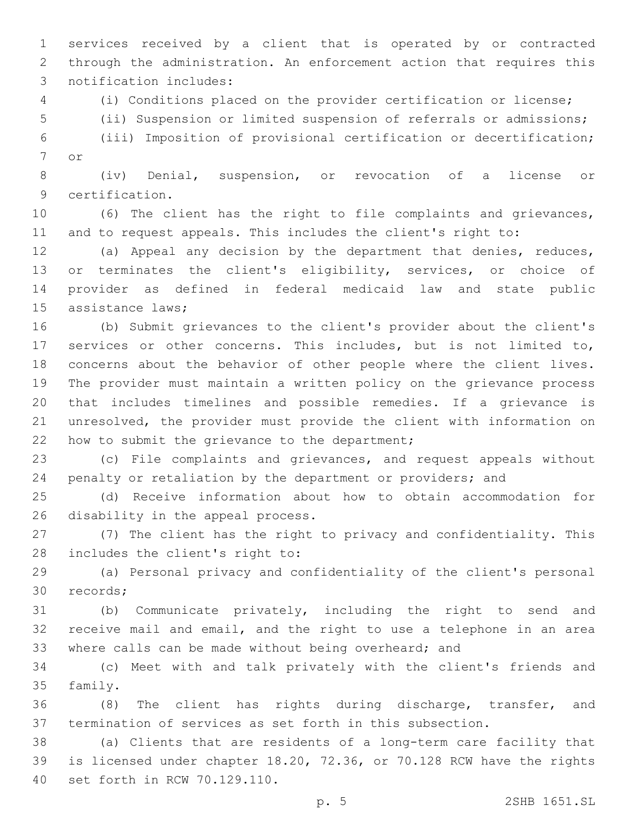services received by a client that is operated by or contracted through the administration. An enforcement action that requires this 3 notification includes:

(i) Conditions placed on the provider certification or license;

(ii) Suspension or limited suspension of referrals or admissions;

 (iii) Imposition of provisional certification or decertification; 7 or

 (iv) Denial, suspension, or revocation of a license or 9 certification.

 (6) The client has the right to file complaints and grievances, and to request appeals. This includes the client's right to:

 (a) Appeal any decision by the department that denies, reduces, or terminates the client's eligibility, services, or choice of provider as defined in federal medicaid law and state public 15 assistance laws:

 (b) Submit grievances to the client's provider about the client's services or other concerns. This includes, but is not limited to, concerns about the behavior of other people where the client lives. The provider must maintain a written policy on the grievance process that includes timelines and possible remedies. If a grievance is unresolved, the provider must provide the client with information on 22 how to submit the grievance to the department;

 (c) File complaints and grievances, and request appeals without penalty or retaliation by the department or providers; and

 (d) Receive information about how to obtain accommodation for 26 disability in the appeal process.

 (7) The client has the right to privacy and confidentiality. This 28 includes the client's right to:

 (a) Personal privacy and confidentiality of the client's personal 30 records;

 (b) Communicate privately, including the right to send and receive mail and email, and the right to use a telephone in an area where calls can be made without being overheard; and

 (c) Meet with and talk privately with the client's friends and 35 family.

 (8) The client has rights during discharge, transfer, and termination of services as set forth in this subsection.

 (a) Clients that are residents of a long-term care facility that is licensed under chapter 18.20, 72.36, or 70.128 RCW have the rights 40 set forth in RCW 70.129.110.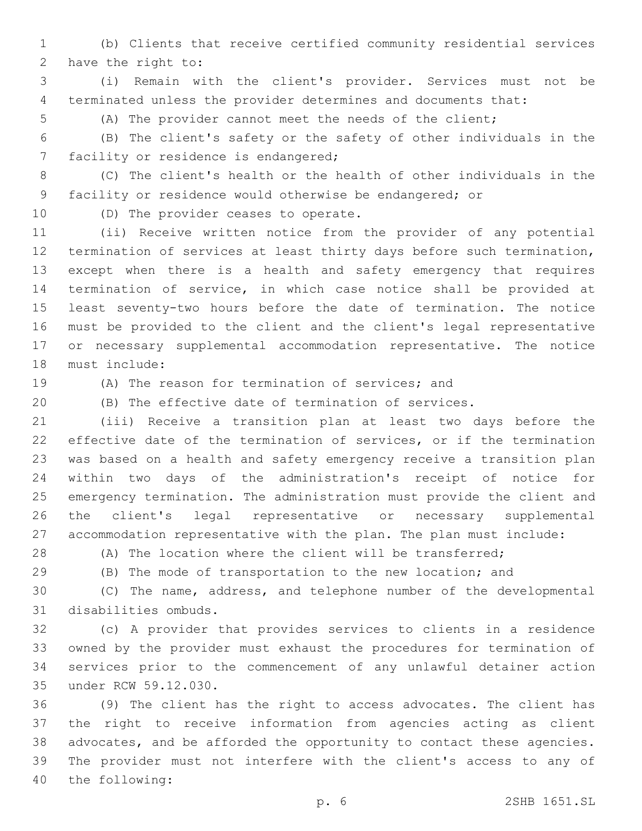(b) Clients that receive certified community residential services 2 have the right to:

 (i) Remain with the client's provider. Services must not be terminated unless the provider determines and documents that:

(A) The provider cannot meet the needs of the client;

 (B) The client's safety or the safety of other individuals in the 7 facility or residence is endangered;

 (C) The client's health or the health of other individuals in the facility or residence would otherwise be endangered; or

10 (D) The provider ceases to operate.

 (ii) Receive written notice from the provider of any potential termination of services at least thirty days before such termination, except when there is a health and safety emergency that requires termination of service, in which case notice shall be provided at least seventy-two hours before the date of termination. The notice must be provided to the client and the client's legal representative or necessary supplemental accommodation representative. The notice 18 must include:

(A) The reason for termination of services; and

(B) The effective date of termination of services.

 (iii) Receive a transition plan at least two days before the effective date of the termination of services, or if the termination was based on a health and safety emergency receive a transition plan within two days of the administration's receipt of notice for emergency termination. The administration must provide the client and the client's legal representative or necessary supplemental accommodation representative with the plan. The plan must include:

28 (A) The location where the client will be transferred;

(B) The mode of transportation to the new location; and

 (C) The name, address, and telephone number of the developmental 31 disabilities ombuds.

 (c) A provider that provides services to clients in a residence owned by the provider must exhaust the procedures for termination of services prior to the commencement of any unlawful detainer action 35 under RCW 59.12.030.

 (9) The client has the right to access advocates. The client has the right to receive information from agencies acting as client advocates, and be afforded the opportunity to contact these agencies. The provider must not interfere with the client's access to any of 40 the following: